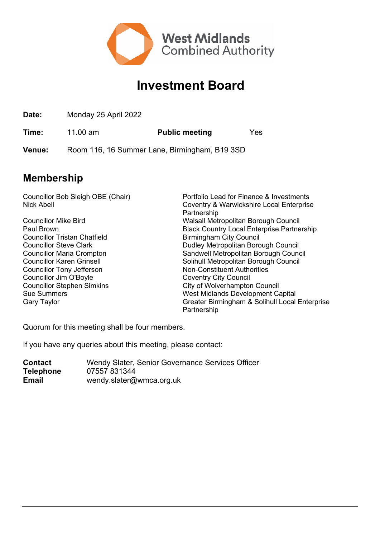

## **Investment Board**

**Date:** Monday 25 April 2022

**Time:** 11.00 am **Public meeting** Yes

**Venue:** Room 116, 16 Summer Lane, Birmingham, B19 3SD

## **Membership**

Councillor Bob Sleigh OBE (Chair) Portfolio Lead for Finance & Investments Nick Abell Coventry & Warwickshire Local Enterprise Partnership Councillor Mike Bird Walsall Metropolitan Borough Council **Black Country Local Enterprise Partnership** Councillor Tristan Chatfield **Birmingham City Council** Councillor Steve Clark **Dudley Metropolitan Borough Council** Councillor Maria Crompton Sandwell Metropolitan Borough Council Councillor Karen Grinsell Solihull Metropolitan Borough Council Councillor Tony Jefferson Non-Constituent Authorities Councillor Jim O'Boyle Coventry City Council Councillor Stephen Simkins City of Wolverhampton Council Sue Summers West Midlands Development Capital Gary Taylor Greater Birmingham & Solihull Local Enterprise Partnership

Quorum for this meeting shall be four members.

If you have any queries about this meeting, please contact:

**Contact** Wendy Slater, Senior Governance Services Officer **Telephone** 07557 831344 **Email** wendy.slater@wmca.org.uk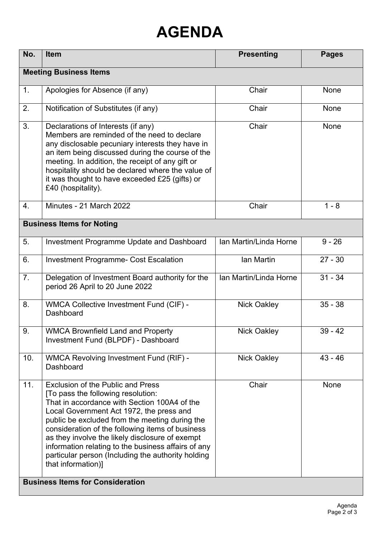## **AGENDA**

| No.                                     | <b>Item</b>                                                                                                                                                                                                                                                                                                                                                                                                                                                            | <b>Presenting</b>      | <b>Pages</b> |  |
|-----------------------------------------|------------------------------------------------------------------------------------------------------------------------------------------------------------------------------------------------------------------------------------------------------------------------------------------------------------------------------------------------------------------------------------------------------------------------------------------------------------------------|------------------------|--------------|--|
| <b>Meeting Business Items</b>           |                                                                                                                                                                                                                                                                                                                                                                                                                                                                        |                        |              |  |
| 1.                                      | Apologies for Absence (if any)                                                                                                                                                                                                                                                                                                                                                                                                                                         | Chair                  | <b>None</b>  |  |
| 2.                                      | Notification of Substitutes (if any)                                                                                                                                                                                                                                                                                                                                                                                                                                   | Chair                  | None         |  |
| 3.                                      | Declarations of Interests (if any)<br>Members are reminded of the need to declare<br>any disclosable pecuniary interests they have in<br>an item being discussed during the course of the<br>meeting. In addition, the receipt of any gift or<br>hospitality should be declared where the value of<br>it was thought to have exceeded £25 (gifts) or<br>£40 (hospitality).                                                                                             | Chair                  | None         |  |
| 4.                                      | Minutes - 21 March 2022                                                                                                                                                                                                                                                                                                                                                                                                                                                | Chair                  | $1 - 8$      |  |
| <b>Business Items for Noting</b>        |                                                                                                                                                                                                                                                                                                                                                                                                                                                                        |                        |              |  |
| 5.                                      | <b>Investment Programme Update and Dashboard</b>                                                                                                                                                                                                                                                                                                                                                                                                                       | Ian Martin/Linda Horne | $9 - 26$     |  |
| 6.                                      | <b>Investment Programme- Cost Escalation</b>                                                                                                                                                                                                                                                                                                                                                                                                                           | Ian Martin             | $27 - 30$    |  |
| 7.                                      | Delegation of Investment Board authority for the<br>period 26 April to 20 June 2022                                                                                                                                                                                                                                                                                                                                                                                    | Ian Martin/Linda Horne | $31 - 34$    |  |
| 8.                                      | <b>WMCA Collective Investment Fund (CIF) -</b><br>Dashboard                                                                                                                                                                                                                                                                                                                                                                                                            | <b>Nick Oakley</b>     | $35 - 38$    |  |
| 9.                                      | <b>WMCA Brownfield Land and Property</b><br>Investment Fund (BLPDF) - Dashboard                                                                                                                                                                                                                                                                                                                                                                                        | <b>Nick Oakley</b>     | $39 - 42$    |  |
| 10.                                     | <b>WMCA Revolving Investment Fund (RIF) -</b><br>Dashboard                                                                                                                                                                                                                                                                                                                                                                                                             | <b>Nick Oakley</b>     | $43 - 46$    |  |
| 11.                                     | <b>Exclusion of the Public and Press</b><br>[To pass the following resolution:<br>That in accordance with Section 100A4 of the<br>Local Government Act 1972, the press and<br>public be excluded from the meeting during the<br>consideration of the following items of business<br>as they involve the likely disclosure of exempt<br>information relating to the business affairs of any<br>particular person (Including the authority holding<br>that information)] | Chair                  | None         |  |
| <b>Business Items for Consideration</b> |                                                                                                                                                                                                                                                                                                                                                                                                                                                                        |                        |              |  |